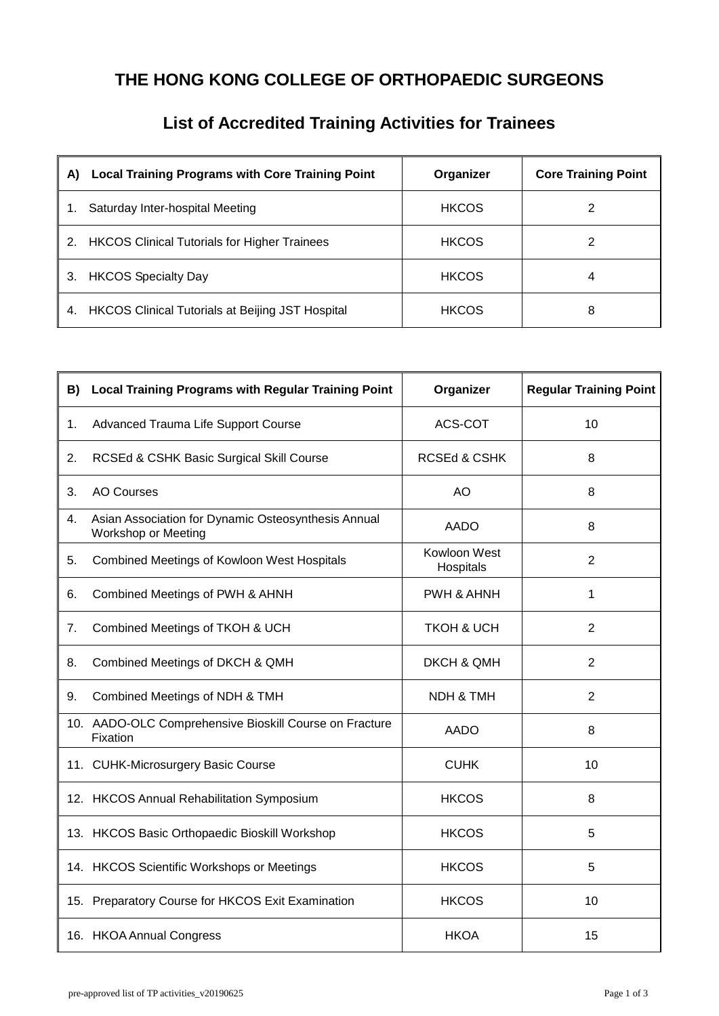## **THE HONG KONG COLLEGE OF ORTHOPAEDIC SURGEONS**

| <b>List of Accredited Training Activities for Trainees</b> |  |
|------------------------------------------------------------|--|
|------------------------------------------------------------|--|

| <b>Local Training Programs with Core Training Point</b><br>A) | Organizer    | <b>Core Training Point</b> |
|---------------------------------------------------------------|--------------|----------------------------|
| Saturday Inter-hospital Meeting                               | <b>HKCOS</b> |                            |
| 2.<br><b>HKCOS Clinical Tutorials for Higher Trainees</b>     | <b>HKCOS</b> |                            |
| <b>HKCOS Specialty Day</b><br>3.                              | <b>HKCOS</b> | 4                          |
| <b>HKCOS Clinical Tutorials at Beijing JST Hospital</b><br>4. | <b>HKCOS</b> | 8                          |

| B) | Local Training Programs with Regular Training Point                        | Organizer                 | <b>Regular Training Point</b> |
|----|----------------------------------------------------------------------------|---------------------------|-------------------------------|
| 1. | Advanced Trauma Life Support Course                                        | ACS-COT                   | 10                            |
| 2. | RCSEd & CSHK Basic Surgical Skill Course                                   | <b>RCSEd &amp; CSHK</b>   | 8                             |
| 3. | <b>AO Courses</b>                                                          | AO                        | 8                             |
| 4. | Asian Association for Dynamic Osteosynthesis Annual<br>Workshop or Meeting | <b>AADO</b>               | 8                             |
| 5. | <b>Combined Meetings of Kowloon West Hospitals</b>                         | Kowloon West<br>Hospitals | $\overline{2}$                |
| 6. | Combined Meetings of PWH & AHNH                                            | PWH & AHNH                | 1                             |
| 7. | Combined Meetings of TKOH & UCH                                            | <b>TKOH &amp; UCH</b>     | 2                             |
| 8. | Combined Meetings of DKCH & QMH                                            | <b>DKCH &amp; QMH</b>     | $\overline{2}$                |
| 9. | Combined Meetings of NDH & TMH                                             | <b>NDH &amp; TMH</b>      | $\overline{2}$                |
|    | 10. AADO-OLC Comprehensive Bioskill Course on Fracture<br>Fixation         | <b>AADO</b>               | 8                             |
|    | 11. CUHK-Microsurgery Basic Course                                         | <b>CUHK</b>               | 10                            |
|    | 12. HKCOS Annual Rehabilitation Symposium                                  | <b>HKCOS</b>              | 8                             |
|    | 13. HKCOS Basic Orthopaedic Bioskill Workshop                              | <b>HKCOS</b>              | 5                             |
|    | 14. HKCOS Scientific Workshops or Meetings                                 | <b>HKCOS</b>              | 5                             |
|    | 15. Preparatory Course for HKCOS Exit Examination                          | <b>HKCOS</b>              | 10                            |
|    | 16. HKOA Annual Congress                                                   | <b>HKOA</b>               | 15                            |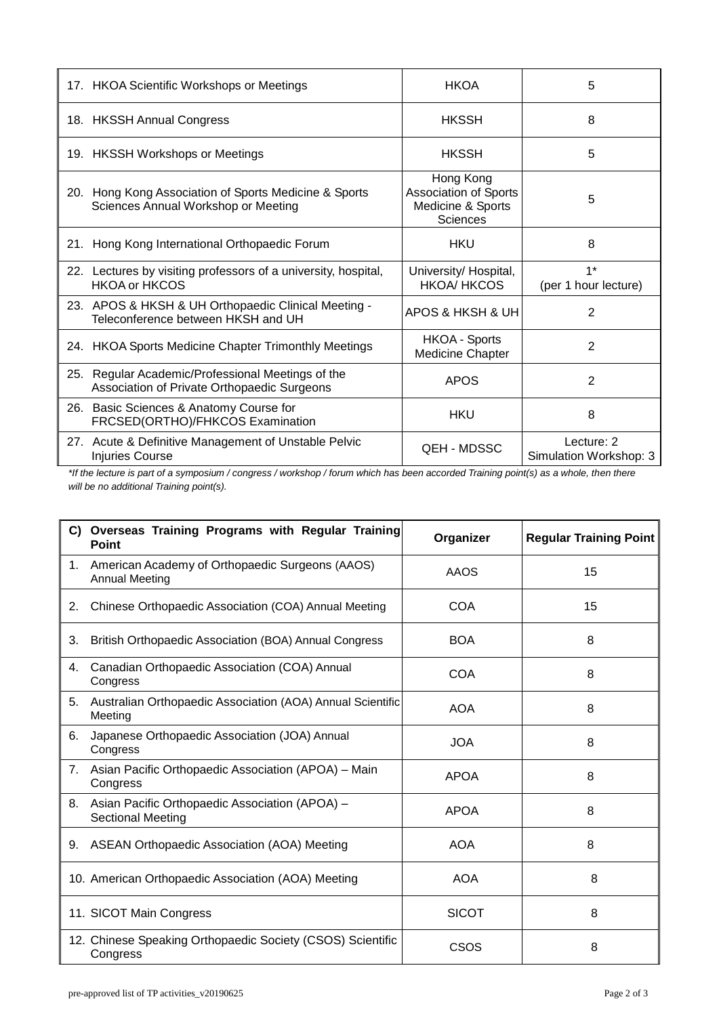| 17. HKOA Scientific Workshops or Meetings                                                        | <b>HKOA</b>                                                                | 5                                    |
|--------------------------------------------------------------------------------------------------|----------------------------------------------------------------------------|--------------------------------------|
| 18. HKSSH Annual Congress                                                                        | <b>HKSSH</b>                                                               | 8                                    |
| 19. HKSSH Workshops or Meetings                                                                  | <b>HKSSH</b>                                                               | 5                                    |
| 20. Hong Kong Association of Sports Medicine & Sports<br>Sciences Annual Workshop or Meeting     | Hong Kong<br>Association of Sports<br>Medicine & Sports<br><b>Sciences</b> | 5                                    |
| 21. Hong Kong International Orthopaedic Forum                                                    | <b>HKU</b>                                                                 | 8                                    |
| 22. Lectures by visiting professors of a university, hospital,<br><b>HKOA or HKCOS</b>           | University/ Hospital,<br><b>HKOA/HKCOS</b>                                 | $1*$<br>(per 1 hour lecture)         |
| 23. APOS & HKSH & UH Orthopaedic Clinical Meeting -<br>Teleconference between HKSH and UH        | APOS & HKSH & UH                                                           | $\overline{2}$                       |
| 24. HKOA Sports Medicine Chapter Trimonthly Meetings                                             | <b>HKOA - Sports</b><br><b>Medicine Chapter</b>                            | 2                                    |
| 25. Regular Academic/Professional Meetings of the<br>Association of Private Orthopaedic Surgeons | <b>APOS</b>                                                                | 2                                    |
| 26. Basic Sciences & Anatomy Course for<br>FRCSED(ORTHO)/FHKCOS Examination                      | <b>HKU</b>                                                                 | 8                                    |
| 27. Acute & Definitive Management of Unstable Pelvic<br><b>Injuries Course</b>                   | <b>QEH - MDSSC</b>                                                         | Lecture: 2<br>Simulation Workshop: 3 |

*\*If the lecture is part of a symposium / congress / workshop / forum which has been accorded Training point(s) as a whole, then there will be no additional Training point(s).*

|             | C) Overseas Training Programs with Regular Training<br>Point               | Organizer    | <b>Regular Training Point</b> |
|-------------|----------------------------------------------------------------------------|--------------|-------------------------------|
| $1_{\cdot}$ | American Academy of Orthopaedic Surgeons (AAOS)<br><b>Annual Meeting</b>   | <b>AAOS</b>  | 15                            |
| 2.          | Chinese Orthopaedic Association (COA) Annual Meeting                       | COA          | 15                            |
| 3.          | British Orthopaedic Association (BOA) Annual Congress                      | <b>BOA</b>   | 8                             |
| 4.          | Canadian Orthopaedic Association (COA) Annual<br>Congress                  | COA          | 8                             |
| 5.          | Australian Orthopaedic Association (AOA) Annual Scientific<br>Meeting      | <b>AOA</b>   | 8                             |
| 6.          | Japanese Orthopaedic Association (JOA) Annual<br>Congress                  | <b>JOA</b>   | 8                             |
| 7.          | Asian Pacific Orthopaedic Association (APOA) - Main<br>Congress            | <b>APOA</b>  | 8                             |
| 8.          | Asian Pacific Orthopaedic Association (APOA) -<br><b>Sectional Meeting</b> | <b>APOA</b>  | 8                             |
|             | 9. ASEAN Orthopaedic Association (AOA) Meeting                             | <b>AOA</b>   | 8                             |
|             | 10. American Orthopaedic Association (AOA) Meeting                         | <b>AOA</b>   | 8                             |
|             | 11. SICOT Main Congress                                                    | <b>SICOT</b> | 8                             |
|             | 12. Chinese Speaking Orthopaedic Society (CSOS) Scientific<br>Congress     | <b>CSOS</b>  | 8                             |